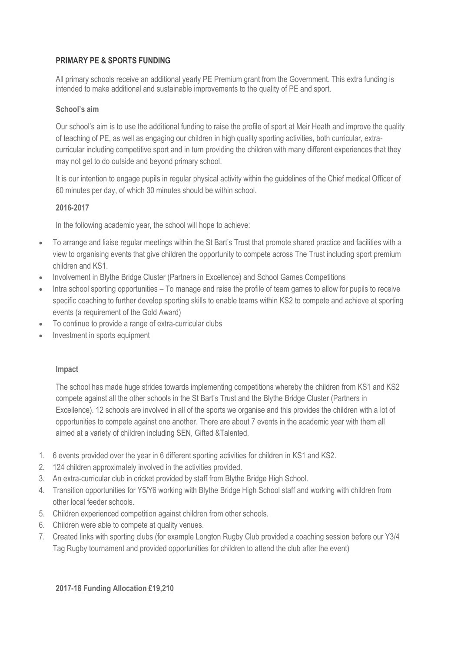## **PRIMARY PE & SPORTS FUNDING**

All primary schools receive an additional yearly PE Premium grant from the Government. This extra funding is intended to make additional and sustainable improvements to the quality of PE and sport.

### **School's aim**

Our school's aim is to use the additional funding to raise the profile of sport at Meir Heath and improve the quality of teaching of PE, as well as engaging our children in high quality sporting activities, both curricular, extracurricular including competitive sport and in turn providing the children with many different experiences that they may not get to do outside and beyond primary school.

It is our intention to engage pupils in regular physical activity within the guidelines of the Chief medical Officer of 60 minutes per day, of which 30 minutes should be within school.

## **2016-2017**

In the following academic year, the school will hope to achieve:

- To arrange and liaise regular meetings within the St Bart's Trust that promote shared practice and facilities with a view to organising events that give children the opportunity to compete across The Trust including sport premium children and KS1.
- Involvement in Blythe Bridge Cluster (Partners in Excellence) and School Games Competitions
- Intra school sporting opportunities To manage and raise the profile of team games to allow for pupils to receive specific coaching to further develop sporting skills to enable teams within KS2 to compete and achieve at sporting events (a requirement of the Gold Award)
- To continue to provide a range of extra-curricular clubs
- Investment in sports equipment

#### **Impact**

The school has made huge strides towards implementing competitions whereby the children from KS1 and KS2 compete against all the other schools in the St Bart's Trust and the Blythe Bridge Cluster (Partners in Excellence). 12 schools are involved in all of the sports we organise and this provides the children with a lot of opportunities to compete against one another. There are about 7 events in the academic year with them all aimed at a variety of children including SEN, Gifted &Talented.

- 1. 6 events provided over the year in 6 different sporting activities for children in KS1 and KS2.
- 2. 124 children approximately involved in the activities provided.
- 3. An extra-curricular club in cricket provided by staff from Blythe Bridge High School.
- 4. Transition opportunities for Y5/Y6 working with Blythe Bridge High School staff and working with children from other local feeder schools.
- 5. Children experienced competition against children from other schools.
- 6. Children were able to compete at quality venues.
- 7. Created links with sporting clubs (for example Longton Rugby Club provided a coaching session before our Y3/4 Tag Rugby tournament and provided opportunities for children to attend the club after the event)